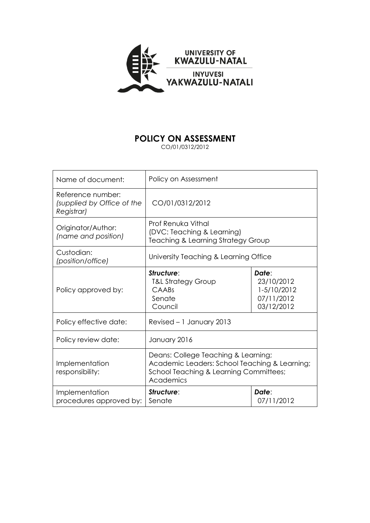

# **POLICY ON ASSESSMENT**

CO/01/0312/2012

| Name of document:                                             | Policy on Assessment                                                                                                                        |                                                                |
|---------------------------------------------------------------|---------------------------------------------------------------------------------------------------------------------------------------------|----------------------------------------------------------------|
| Reference number:<br>(supplied by Office of the<br>Registrar) | CO/01/0312/2012                                                                                                                             |                                                                |
| Originator/Author:<br>(name and position)                     | <b>Prof Renuka Vithal</b><br>(DVC: Teaching & Learning)<br><b>Teaching &amp; Learning Strategy Group</b>                                    |                                                                |
| Custodian:<br>(position/office)                               | University Teaching & Learning Office                                                                                                       |                                                                |
| Policy approved by:                                           | Structure:<br><b>T&amp;L Strategy Group</b><br>CAABS<br>Senate<br>Council                                                                   | Date:<br>23/10/2012<br>1-5/10/2012<br>07/11/2012<br>03/12/2012 |
| Policy effective date:                                        | Revised - 1 January 2013                                                                                                                    |                                                                |
| Policy review date:                                           | January 2016                                                                                                                                |                                                                |
| Implementation<br>responsibility:                             | Deans: College Teaching & Learning;<br>Academic Leaders: School Teaching & Learning;<br>School Teaching & Learning Committees;<br>Academics |                                                                |
| Implementation<br>procedures approved by:                     | Structure:<br>Senate                                                                                                                        | Date:<br>07/11/2012                                            |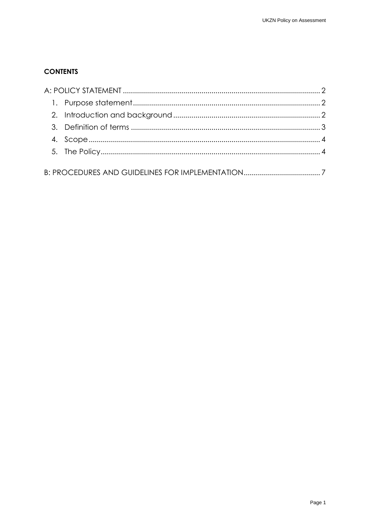## **CONTENTS**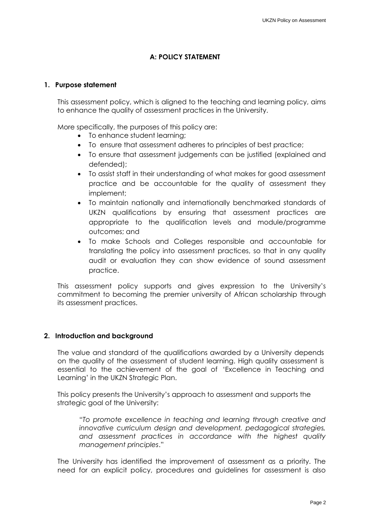### **A: POLICY STATEMENT**

#### <span id="page-2-1"></span><span id="page-2-0"></span>**1. Purpose statement**

This assessment policy, which is aligned to the teaching and learning policy, aims to enhance the quality of assessment practices in the University.

More specifically, the purposes of this policy are:

- To enhance student learning;
- To ensure that assessment adheres to principles of best practice;
- To ensure that assessment judgements can be justified (explained and defended);
- To assist staff in their understanding of what makes for good assessment practice and be accountable for the quality of assessment they implement;
- To maintain nationally and internationally benchmarked standards of UKZN qualifications by ensuring that assessment practices are appropriate to the qualification levels and module/programme outcomes; and
- To make Schools and Colleges responsible and accountable for translating the policy into assessment practices, so that in any quality audit or evaluation they can show evidence of sound assessment practice.

This assessment policy supports and gives expression to the University's commitment to becoming the premier university of African scholarship through its assessment practices.

#### <span id="page-2-2"></span>**2. Introduction and background**

The value and standard of the qualifications awarded by a University depends on the quality of the assessment of student learning. High quality assessment is essential to the achievement of the goal of 'Excellence in Teaching and Learning' in the UKZN Strategic Plan.

This policy presents the University's approach to assessment and supports the strategic goal of the University:

"*To promote excellence in teaching and learning through creative and innovative curriculum design and development, pedagogical strategies, and assessment practices in accordance with the highest quality management principles*."

The University has identified the improvement of assessment as a priority. The need for an explicit policy, procedures and guidelines for assessment is also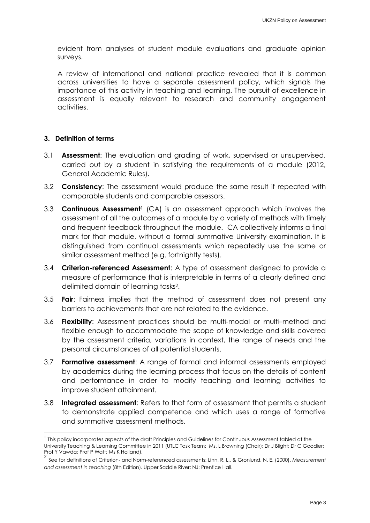evident from analyses of student module evaluations and graduate opinion surveys.

A review of international and national practice revealed that it is common across universities to have a separate assessment policy, which signals the importance of this activity in teaching and learning. The pursuit of excellence in assessment is equally relevant to research and community engagement activities.

#### <span id="page-3-0"></span>**3. Definition of terms**

 $\overline{a}$ 

- 3.1 **Assessment**: The evaluation and grading of work, supervised or unsupervised, carried out by a student in satisfying the requirements of a module (2012, General Academic Rules).
- 3.2 **Consistency**: The assessment would produce the same result if repeated with comparable students and comparable assessors.
- 3.3 **Continuous Assessment**<sup>1</sup> (CA) is an assessment approach which involves the assessment of all the outcomes of a module by a variety of methods with timely and frequent feedback throughout the module. CA collectively informs a final mark for that module, without a formal summative University examination. It is distinguished from continual assessments which repeatedly use the same or similar assessment method (e.g. fortnightly tests).
- 3.4 **Criterion-referenced Assessment**: A type of assessment designed to provide a measure of performance that is interpretable in terms of a clearly defined and delimited domain of learning tasks<sup>2</sup> .
- 3.5 **Fair**: Fairness implies that the method of assessment does not present any barriers to achievements that are not related to the evidence.
- 3.6 **Flexibility**: Assessment practices should be multi-modal or multi–method and flexible enough to accommodate the scope of knowledge and skills covered by the assessment criteria, variations in context, the range of needs and the personal circumstances of all potential students.
- 3.7 **Formative assessment**: A range of formal and informal assessments employed by academics during the learning process that focus on the details of content and performance in order to modify teaching and learning activities to improve student attainment.
- 3.8 **Integrated assessment**: Refers to that form of assessment that permits a student to demonstrate applied competence and which uses a range of formative and summative assessment methods.

 $^1$  This policy incorporates aspects of the draft Principles and Guidelines for Continuous Assessment tabled at the University Teaching & Learning Committee in 2011 (UTLC Task Team: Ms. L Browning (Chair); Dr J Blight; Dr C Goodier; Prof Y Vawda; Prof P Watt; Ms K Holland). 2

See for definitions of Criterion- and Norm-referenced assessments: Linn, R. L., & Gronlund, N. E. (2000). *Measurement and assessment in teaching* (8th Edition). Upper Saddle River: NJ: Prentice Hall.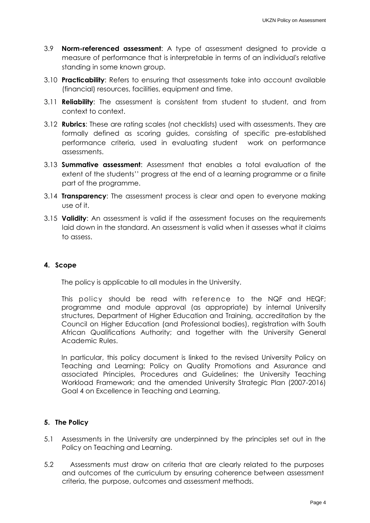- 3.9 **Norm-referenced assessment**: A type of assessment designed to provide a measure of performance that is interpretable in terms of an individual's relative standing in some known group.
- 3.10 **Practicability**: Refers to ensuring that assessments take into account available (financial) resources, facilities, equipment and time.
- 3.11 **Reliability**: The assessment is consistent from student to student, and from context to context.
- 3.12 **Rubrics**: These are rating scales (not checklists) used with assessments. They are formally defined as scoring guides, consisting of specific pre-established performance criteria, used in evaluating student work on performance assessments.
- 3.13 **Summative assessment**: Assessment that enables a total evaluation of the extent of the students'' progress at the end of a learning programme or a finite part of the programme.
- 3.14 **Transparency**: The assessment process is clear and open to everyone making use of it.
- 3.15 **Validity**: An assessment is valid if the assessment focuses on the requirements laid down in the standard. An assessment is valid when it assesses what it claims to assess.

## <span id="page-4-0"></span>**4. Scope**

The policy is applicable to all modules in the University.

This policy should be read with reference to the NQF and HEQF; programme and module approval (as appropriate) by internal University structures, Department of Higher Education and Training, accreditation by the Council on Higher Education (and Professional bodies), registration with South African Qualifications Authority; and together with the University General Academic Rules.

In particular, this policy document is linked to the revised University Policy on Teaching and Learning; Policy on Quality Promotions and Assurance and associated Principles, Procedures and Guidelines; the University Teaching Workload Framework; and the amended University Strategic Plan (2007-2016) Goal 4 on Excellence in Teaching and Learning.

## <span id="page-4-1"></span>**5. The Policy**

- 5.1 Assessments in the University are underpinned by the principles set out in the Policy on Teaching and Learning.
- 5.2 Assessments must draw on criteria that are clearly related to the purposes and outcomes of the curriculum by ensuring coherence between assessment criteria, the purpose, outcomes and assessment methods.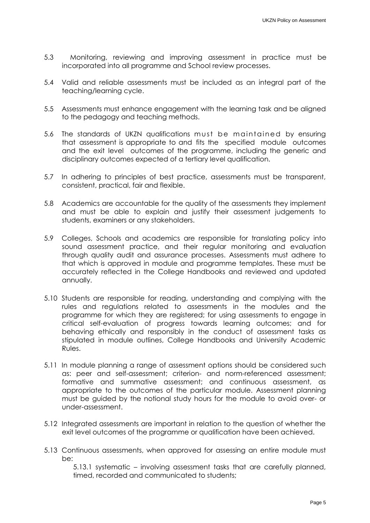- 5.3 Monitoring, reviewing and improving assessment in practice must be incorporated into all programme and School review processes.
- 5.4 Valid and reliable assessments must be included as an integral part of the teaching/learning cycle.
- 5.5 Assessments must enhance engagement with the learning task and be aligned to the pedagogy and teaching methods.
- 5.6 The standards of UKZN qualifications must be maintained by ensuring that assessment is appropriate to and fits the specified module outcomes and the exit level outcomes of the programme, including the generic and disciplinary outcomes expected of a tertiary level qualification.
- 5.7 In adhering to principles of best practice, assessments must be transparent, consistent, practical, fair and flexible.
- 5.8 Academics are accountable for the quality of the assessments they implement and must be able to explain and justify their assessment judgements to students, examiners or any stakeholders.
- 5.9 Colleges, Schools and academics are responsible for translating policy into sound assessment practice, and their regular monitoring and evaluation through quality audit and assurance processes. Assessments must adhere to that which is approved in module and programme templates. These must be accurately reflected in the College Handbooks and reviewed and updated annually.
- 5.10 Students are responsible for reading, understanding and complying with the rules and regulations related to assessments in the modules and the programme for which they are registered; for using assessments to engage in critical self-evaluation of progress towards learning outcomes; and for behaving ethically and responsibly in the conduct of assessment tasks as stipulated in module outlines, College Handbooks and University Academic Rules.
- 5.11 In module planning a range of assessment options should be considered such as: peer and self-assessment; criterion- and norm-referenced assessment; formative and summative assessment; and continuous assessment, as appropriate to the outcomes of the particular module. Assessment planning must be guided by the notional study hours for the module to avoid over- or under-assessment.
- 5.12 Integrated assessments are important in relation to the question of whether the exit level outcomes of the programme or qualification have been achieved.
- 5.13 Continuous assessments, when approved for assessing an entire module must be:

5.13.1 systematic – involving assessment tasks that are carefully planned, timed, recorded and communicated to students;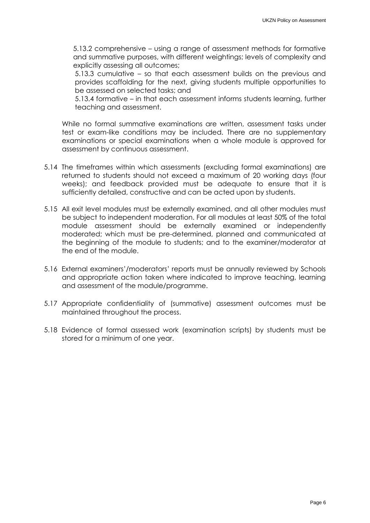5.13.2 comprehensive – using a range of assessment methods for formative and summative purposes, with different weightings; levels of complexity and explicitly assessing all outcomes;

5.13.3 cumulative – so that each assessment builds on the previous and provides scaffolding for the next, giving students multiple opportunities to be assessed on selected tasks; and

5.13.4 formative – in that each assessment informs students learning, further teaching and assessment.

While no formal summative examinations are written, assessment tasks under test or exam-like conditions may be included. There are no supplementary examinations or special examinations when a whole module is approved for assessment by continuous assessment.

- 5.14 The timeframes within which assessments (excluding formal examinations) are returned to students should not exceed a maximum of 20 working days (four weeks); and feedback provided must be adequate to ensure that it is sufficiently detailed, constructive and can be acted upon by students.
- 5.15 All exit level modules must be externally examined, and all other modules must be subject to independent moderation. For all modules at least 50% of the total module assessment should be externally examined or independently moderated; which must be pre-determined, planned and communicated at the beginning of the module to students; and to the examiner/moderator at the end of the module.
- 5.16 External examiners'/moderators' reports must be annually reviewed by Schools and appropriate action taken where indicated to improve teaching, learning and assessment of the module/programme.
- 5.17 Appropriate confidentiality of (summative) assessment outcomes must be maintained throughout the process.
- 5.18 Evidence of formal assessed work (examination scripts) by students must be stored for a minimum of one year.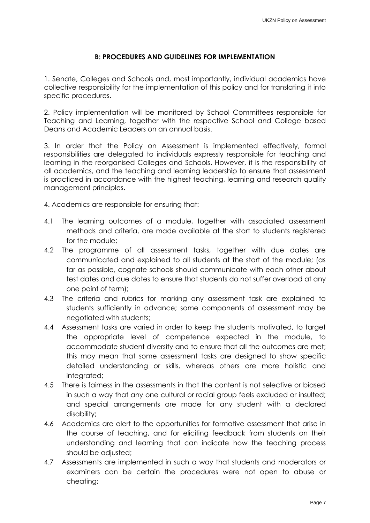## **B: PROCEDURES AND GUIDELINES FOR IMPLEMENTATION**

<span id="page-7-0"></span>1. Senate, Colleges and Schools and, most importantly, individual academics have collective responsibility for the implementation of this policy and for translating it into specific procedures.

2. Policy implementation will be monitored by School Committees responsible for Teaching and Learning, together with the respective School and College based Deans and Academic Leaders on an annual basis.

3. In order that the Policy on Assessment is implemented effectively, formal responsibilities are delegated to individuals expressly responsible for teaching and learning in the reorganised Colleges and Schools. However, it is the responsibility of all academics, and the teaching and learning leadership to ensure that assessment is practiced in accordance with the highest teaching, learning and research quality management principles.

4. Academics are responsible for ensuring that:

- 4.1 The learning outcomes of a module, together with associated assessment methods and criteria, are made available at the start to students registered for the module;
- 4.2 The programme of all assessment tasks, together with due dates are communicated and explained to all students at the start of the module; (as far as possible, cognate schools should communicate with each other about test dates and due dates to ensure that students do not suffer overload at any one point of term);
- 4.3 The criteria and rubrics for marking any assessment task are explained to students sufficiently in advance; some components of assessment may be negotiated with students;
- 4.4 Assessment tasks are varied in order to keep the students motivated, to target the appropriate level of competence expected in the module, to accommodate student diversity and to ensure that all the outcomes are met; this may mean that some assessment tasks are designed to show specific detailed understanding or skills, whereas others are more holistic and integrated;
- 4.5 There is fairness in the assessments in that the content is not selective or biased in such a way that any one cultural or racial group feels excluded or insulted; and special arrangements are made for any student with a declared disability;
- 4.6 Academics are alert to the opportunities for formative assessment that arise in the course of teaching, and for eliciting feedback from students on their understanding and learning that can indicate how the teaching process should be adjusted;
- 4.7 Assessments are implemented in such a way that students and moderators or examiners can be certain the procedures were not open to abuse or cheating;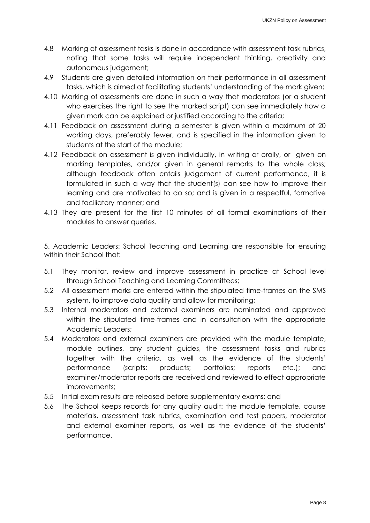- 4.8 Marking of assessment tasks is done in accordance with assessment task rubrics, noting that some tasks will require independent thinking, creativity and autonomous judgement;
- 4.9 Students are given detailed information on their performance in all assessment tasks, which is aimed at facilitating students' understanding of the mark given;
- 4.10 Marking of assessments are done in such a way that moderators (or a student who exercises the right to see the marked script) can see immediately how a given mark can be explained or justified according to the criteria;
- 4.11 Feedback on assessment during a semester is given within a maximum of 20 working days, preferably fewer, and is specified in the information given to students at the start of the module;
- 4.12 Feedback on assessment is given individually, in writing or orally, or given on marking templates, and/or given in general remarks to the whole class; although feedback often entails judgement of current performance, it is formulated in such a way that the student(s) can see how to improve their learning and are motivated to do so; and is given in a respectful, formative and faciliatory manner; and
- 4.13 They are present for the first 10 minutes of all formal examinations of their modules to answer queries.

5. Academic Leaders: School Teaching and Learning are responsible for ensuring within their School that:

- 5.1 They monitor, review and improve assessment in practice at School level through School Teaching and Learning Committees;
- 5.2 All assessment marks are entered within the stipulated time-frames on the SMS system, to improve data quality and allow for monitoring;
- 5.3 Internal moderators and external examiners are nominated and approved within the stipulated time-frames and in consultation with the appropriate Academic Leaders;
- 5.4 Moderators and external examiners are provided with the module template, module outlines, any student guides, the assessment tasks and rubrics together with the criteria, as well as the evidence of the students' performance (scripts; products; portfolios; reports etc.); and examiner/moderator reports are received and reviewed to effect appropriate improvements;
- 5.5 Initial exam results are released before supplementary exams; and
- 5.6 The School keeps records for any quality audit: the module template, course materials, assessment task rubrics, examination and test papers, moderator and external examiner reports, as well as the evidence of the students' performance.